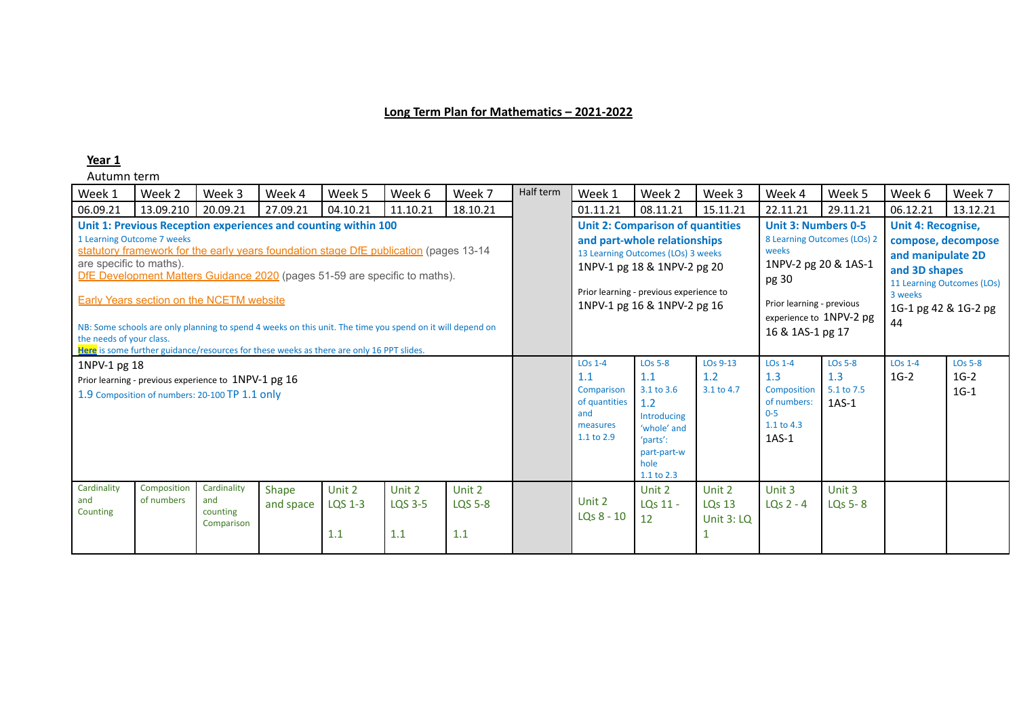## **Long Term Plan for Mathematics – 2021-2022**

### **Year 1**

| Week 1                                              | Week 2                     | Week 3                                                                                                 | Week 4             | Week 5                                                                                                                                                                                                                                                                                                                                                                                                                                         | Week 6                   | Week 7                          | Half term | Week 1                                                                           | Week 2                                                                                                                                                                                                                 | Week 3                                | Week 4                                                                                                                                                                          | Week 5                                         | Week 6                                                                                                                                                       | Week 7                             |
|-----------------------------------------------------|----------------------------|--------------------------------------------------------------------------------------------------------|--------------------|------------------------------------------------------------------------------------------------------------------------------------------------------------------------------------------------------------------------------------------------------------------------------------------------------------------------------------------------------------------------------------------------------------------------------------------------|--------------------------|---------------------------------|-----------|----------------------------------------------------------------------------------|------------------------------------------------------------------------------------------------------------------------------------------------------------------------------------------------------------------------|---------------------------------------|---------------------------------------------------------------------------------------------------------------------------------------------------------------------------------|------------------------------------------------|--------------------------------------------------------------------------------------------------------------------------------------------------------------|------------------------------------|
| 06.09.21                                            | 13.09.210                  | 20.09.21                                                                                               | 27.09.21           | 04.10.21                                                                                                                                                                                                                                                                                                                                                                                                                                       | 11.10.21                 | 18.10.21                        |           | 01.11.21                                                                         | 08.11.21                                                                                                                                                                                                               | 15.11.21                              | 22.11.21                                                                                                                                                                        | 29.11.21                                       | 06.12.21                                                                                                                                                     | 13.12.21                           |
| are specific to maths).<br>the needs of your class. | 1 Learning Outcome 7 weeks | <b>Early Years section on the NCETM website</b>                                                        |                    | Unit 1: Previous Reception experiences and counting within 100<br>statutory framework for the early years foundation stage DfE publication (pages 13-14<br>DfE Development Matters Guidance 2020 (pages 51-59 are specific to maths).<br>NB: Some schools are only planning to spend 4 weeks on this unit. The time you spend on it will depend on<br>Here is some further guidance/resources for these weeks as there are only 16 PPT slides. |                          |                                 |           |                                                                                  | <b>Unit 2: Comparison of quantities</b><br>and part-whole relationships<br>13 Learning Outcomes (LOs) 3 weeks<br>1NPV-1 pg 18 & 1NPV-2 pg 20<br>Prior learning - previous experience to<br>1NPV-1 pg 16 & 1NPV-2 pg 16 |                                       | <b>Unit 3: Numbers 0-5</b><br>8 Learning Outcomes (LOs) 2<br>weeks<br>1NPV-2 pg 20 & 1AS-1<br>pg 30<br>Prior learning - previous<br>experience to 1NPV-2 pg<br>16 & 1AS-1 pg 17 |                                                | <b>Unit 4: Recognise,</b><br>compose, decompose<br>and manipulate 2D<br>and 3D shapes<br>11 Learning Outcomes (LOs)<br>3 weeks<br>1G-1 pg 42 & 1G-2 pg<br>44 |                                    |
| 1NPV-1 pg 18                                        |                            | Prior learning - previous experience to 1NPV-1 pg 16<br>1.9 Composition of numbers: 20-100 TP 1.1 Only |                    |                                                                                                                                                                                                                                                                                                                                                                                                                                                |                          |                                 |           | $LOS 1-4$<br>1.1<br>Comparison<br>of quantities<br>and<br>measures<br>1.1 to 2.9 | <b>LO<sub>s</sub></b> 5-8<br>1.1<br>3.1 to 3.6<br>1.2<br>Introducing<br>'whole' and<br>'parts':<br>part-part-w<br>hole<br>1.1 to 2.3                                                                                   | $LOS 9-13$<br>1.2<br>3.1 to 4.7       | $LOS 1-4$<br>1.3<br>Composition<br>of numbers:<br>$0 - 5$<br>$1.1$ to 4.3<br>$1AS-1$                                                                                            | <b>LOs 5-8</b><br>1.3<br>5.1 to 7.5<br>$1AS-1$ | $LOS 1-4$<br>$1G-2$                                                                                                                                          | <b>LOs 5-8</b><br>$1G-2$<br>$1G-1$ |
| Cardinality<br>and<br>Counting                      | Composition<br>of numbers  | Cardinality<br>and<br>counting<br>Comparison                                                           | Shape<br>and space | Unit 2<br>LQS 1-3<br>1.1                                                                                                                                                                                                                                                                                                                                                                                                                       | Unit 2<br>LQS 3-5<br>1.1 | Unit 2<br><b>LQS 5-8</b><br>1.1 |           | Unit 2<br>$LQs$ $8 - 10$                                                         | Unit 2<br>LQs 11 -<br>12                                                                                                                                                                                               | Unit 2<br><b>LQs 13</b><br>Unit 3: LQ | Unit 3<br>LQs $2 - 4$                                                                                                                                                           | Unit 3<br>LQs 5-8                              |                                                                                                                                                              |                                    |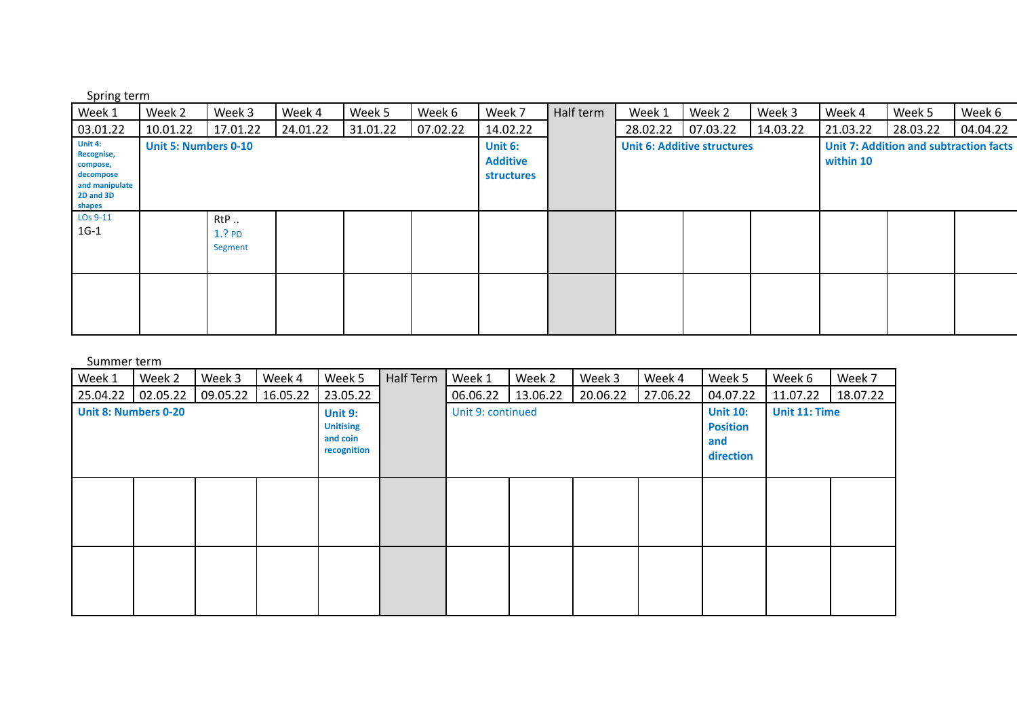Spring term

| Week 1                                                                                  | Week 2                      | Week 3                               | Week 4   | Week 5   | Week 6   | Week 7                                   | Half term | Week 1   | Week 2                             | Week 3   | Week 4    | Week 5                                        | Week 6   |
|-----------------------------------------------------------------------------------------|-----------------------------|--------------------------------------|----------|----------|----------|------------------------------------------|-----------|----------|------------------------------------|----------|-----------|-----------------------------------------------|----------|
| 03.01.22                                                                                | 10.01.22                    | 17.01.22                             | 24.01.22 | 31.01.22 | 07.02.22 | 14.02.22                                 |           | 28.02.22 | 07.03.22                           | 14.03.22 | 21.03.22  | 28.03.22                                      | 04.04.22 |
| Unit 4:<br>Recognise,<br>compose,<br>decompose<br>and manipulate<br>2D and 3D<br>shapes | <b>Unit 5: Numbers 0-10</b> |                                      |          |          |          | Unit 6:<br><b>Additive</b><br>structures |           |          | <b>Unit 6: Additive structures</b> |          | within 10 | <b>Unit 7: Addition and subtraction facts</b> |          |
| LO <sub>s</sub> 9-11<br>$1G-1$                                                          |                             | RtP.<br>1.?P <sub>D</sub><br>Segment |          |          |          |                                          |           |          |                                    |          |           |                                               |          |
|                                                                                         |                             |                                      |          |          |          |                                          |           |          |                                    |          |           |                                               |          |

| Week 1                      | Week 2   | Week 3   | Week 4   | Week 5                                                        | Half Term | Week 1            | Week 2   | Week 3   | Week 4   | Week 5                                                 | Week 6        | Week 7   |
|-----------------------------|----------|----------|----------|---------------------------------------------------------------|-----------|-------------------|----------|----------|----------|--------------------------------------------------------|---------------|----------|
| 25.04.22                    | 02.05.22 | 09.05.22 | 16.05.22 | 23.05.22                                                      |           | 06.06.22          | 13.06.22 | 20.06.22 | 27.06.22 | 04.07.22                                               | 11.07.22      | 18.07.22 |
| <b>Unit 8: Numbers 0-20</b> |          |          |          | <b>Unit 9:</b><br><b>Unitising</b><br>and coin<br>recognition |           | Unit 9: continued |          |          |          | <b>Unit 10:</b><br><b>Position</b><br>and<br>direction | Unit 11: Time |          |
|                             |          |          |          |                                                               |           |                   |          |          |          |                                                        |               |          |
|                             |          |          |          |                                                               |           |                   |          |          |          |                                                        |               |          |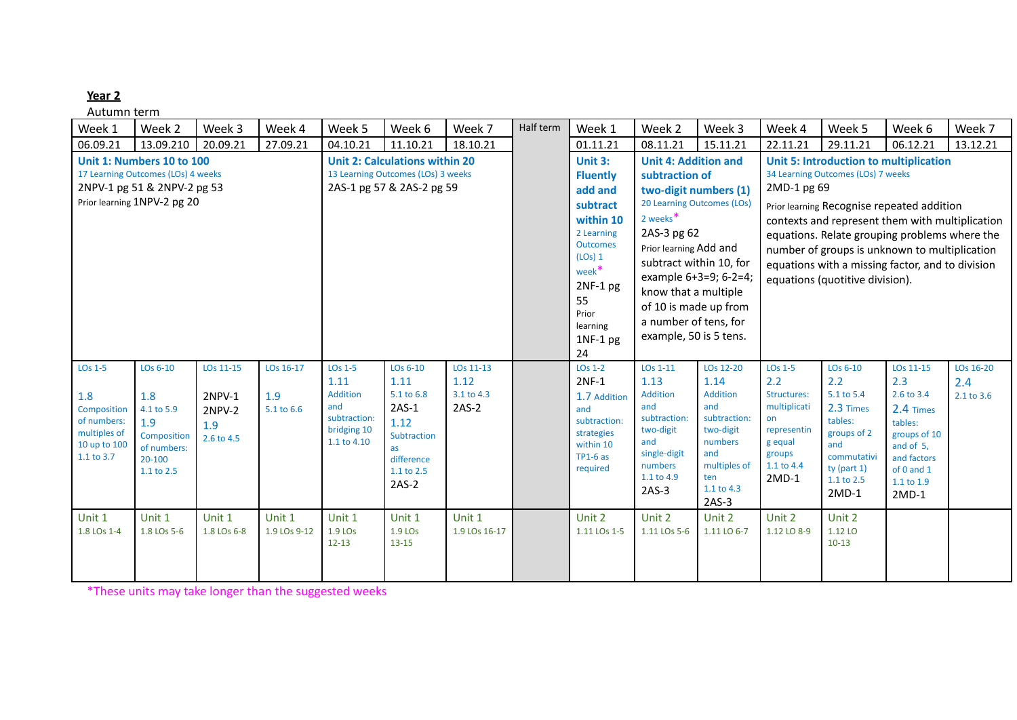Autumn term

| Week 1                                                                                                 | Week 2                                                                                                                        | Week 3                                                    | Week 4                         | Week 5                                                                                       | Week 6                                                                                                        | Week 7                                     | Half term | Week 1                                                                                                                                                                                       | Week 2                                                                                                                                                                                                                                                                                               | Week 3                                                                                                                              | Week 4                                                                                                                     | Week 5                                                                                                                                                                                                                                                                                                                                                                        | Week 6                                                                                                                                    | Week 7                         |
|--------------------------------------------------------------------------------------------------------|-------------------------------------------------------------------------------------------------------------------------------|-----------------------------------------------------------|--------------------------------|----------------------------------------------------------------------------------------------|---------------------------------------------------------------------------------------------------------------|--------------------------------------------|-----------|----------------------------------------------------------------------------------------------------------------------------------------------------------------------------------------------|------------------------------------------------------------------------------------------------------------------------------------------------------------------------------------------------------------------------------------------------------------------------------------------------------|-------------------------------------------------------------------------------------------------------------------------------------|----------------------------------------------------------------------------------------------------------------------------|-------------------------------------------------------------------------------------------------------------------------------------------------------------------------------------------------------------------------------------------------------------------------------------------------------------------------------------------------------------------------------|-------------------------------------------------------------------------------------------------------------------------------------------|--------------------------------|
| 06.09.21                                                                                               | 13.09.210                                                                                                                     | 20.09.21                                                  | 27.09.21                       | 04.10.21                                                                                     | 11.10.21                                                                                                      | 18.10.21                                   |           | 01.11.21                                                                                                                                                                                     | 08.11.21                                                                                                                                                                                                                                                                                             | 15.11.21                                                                                                                            | 22.11.21                                                                                                                   | 29.11.21                                                                                                                                                                                                                                                                                                                                                                      | 06.12.21                                                                                                                                  | 13.12.21                       |
|                                                                                                        | Unit 1: Numbers 10 to 100<br>17 Learning Outcomes (LOs) 4 weeks<br>2NPV-1 pg 51 & 2NPV-2 pg 53<br>Prior learning 1NPV-2 pg 20 |                                                           |                                |                                                                                              | <b>Unit 2: Calculations within 20</b><br>13 Learning Outcomes (LOs) 3 weeks<br>2AS-1 pg 57 & 2AS-2 pg 59      |                                            |           | Unit 3:<br><b>Fluently</b><br>add and<br>subtract<br>within 10<br>2 Learning<br><b>Outcomes</b><br>(LOs) 1<br>week <sup>*</sup><br>$2NF-1$ pg<br>55<br>Prior<br>learning<br>$1NF-1$ pg<br>24 | <b>Unit 4: Addition and</b><br>subtraction of<br>two-digit numbers (1)<br>20 Learning Outcomes (LOs)<br>2 weeks <sup>*</sup><br>2AS-3 pg 62<br>Prior learning Add and<br>subtract within 10, for<br>know that a multiple<br>of 10 is made up from<br>a number of tens, for<br>example, 50 is 5 tens. | example 6+3=9; 6-2=4;                                                                                                               | 2MD-1 pg 69                                                                                                                | <b>Unit 5: Introduction to multiplication</b><br>34 Learning Outcomes (LOs) 7 weeks<br>Prior learning Recognise repeated addition<br>contexts and represent them with multiplication<br>equations. Relate grouping problems where the<br>number of groups is unknown to multiplication<br>equations with a missing factor, and to division<br>equations (quotitive division). |                                                                                                                                           |                                |
| LO <sub>s</sub> 1-5<br>1.8<br>Composition<br>of numbers:<br>multiples of<br>10 up to 100<br>1.1 to 3.7 | LOs 6-10<br>1.8<br>4.1 to 5.9<br>1.9<br>Composition<br>of numbers:<br>20-100<br>1.1 to 2.5                                    | LOs 11-15<br>2NPV-1<br><b>2NPV-2</b><br>1.9<br>2.6 to 4.5 | LOs 16-17<br>1.9<br>5.1 to 6.6 | LO <sub>s</sub> 1-5<br>1.11<br>Addition<br>and<br>subtraction:<br>bridging 10<br>1.1 to 4.10 | LOs 6-10<br>1.11<br>5.1 to 6.8<br>$2AS-1$<br>1.12<br>Subtraction<br>as<br>difference<br>1.1 to 2.5<br>$2AS-2$ | LOs 11-13<br>1.12<br>3.1 to 4.3<br>$2AS-2$ |           | $LOS 1-2$<br>$2NF-1$<br>1.7 Addition<br>and<br>subtraction:<br>strategies<br>within 10<br>$TP1-6$ as<br>required                                                                             | LOs 1-11<br>1.13<br>Addition<br>and<br>subtraction:<br>two-digit<br>and<br>single-digit<br>numbers<br>1.1 to 4.9<br>$2AS-3$                                                                                                                                                                          | LOs 12-20<br>1.14<br>Addition<br>and<br>subtraction:<br>two-digit<br>numbers<br>and<br>multiples of<br>ten<br>1.1 to 4.3<br>$2AS-3$ | LO <sub>s</sub> 1-5<br>2.2<br>Structures:<br>multiplicati<br>on<br>representin<br>g equal<br>groups<br>1.1 to 4.4<br>2MD-1 | LOs 6-10<br>2.2<br>5.1 to 5.4<br>2.3 Times<br>tables:<br>groups of 2<br>and<br>commutativi<br>ty (part $1$ )<br>1.1 to 2.5<br>$2MD-1$                                                                                                                                                                                                                                         | LOs 11-15<br>2.3<br>2.6 to 3.4<br>2.4 Times<br>tables:<br>groups of 10<br>and of 5,<br>and factors<br>of 0 and 1<br>1.1 to 1.9<br>$2MD-1$ | LOs 16-20<br>2.4<br>2.1 to 3.6 |
| Unit 1<br>1.8 LOs 1-4                                                                                  | Unit 1<br>1.8 LOs 5-6                                                                                                         | Unit 1<br>1.8 LOs 6-8                                     | Unit 1<br>1.9 LOs 9-12         | Unit 1<br>1.9 LO <sub>s</sub><br>$12 - 13$                                                   | Unit 1<br>1.9 LO <sub>s</sub><br>$13 - 15$                                                                    | Unit 1<br>1.9 LOs 16-17                    |           | Unit 2<br>1.11 LOs 1-5                                                                                                                                                                       | Unit 2<br>1.11 LOs 5-6                                                                                                                                                                                                                                                                               | Unit 2<br>1.11 LO 6-7                                                                                                               | Unit 2<br>1.12 LO 8-9                                                                                                      | Unit 2<br>1.12 LO<br>$10-13$                                                                                                                                                                                                                                                                                                                                                  |                                                                                                                                           |                                |

\*These units may take longer than the suggested weeks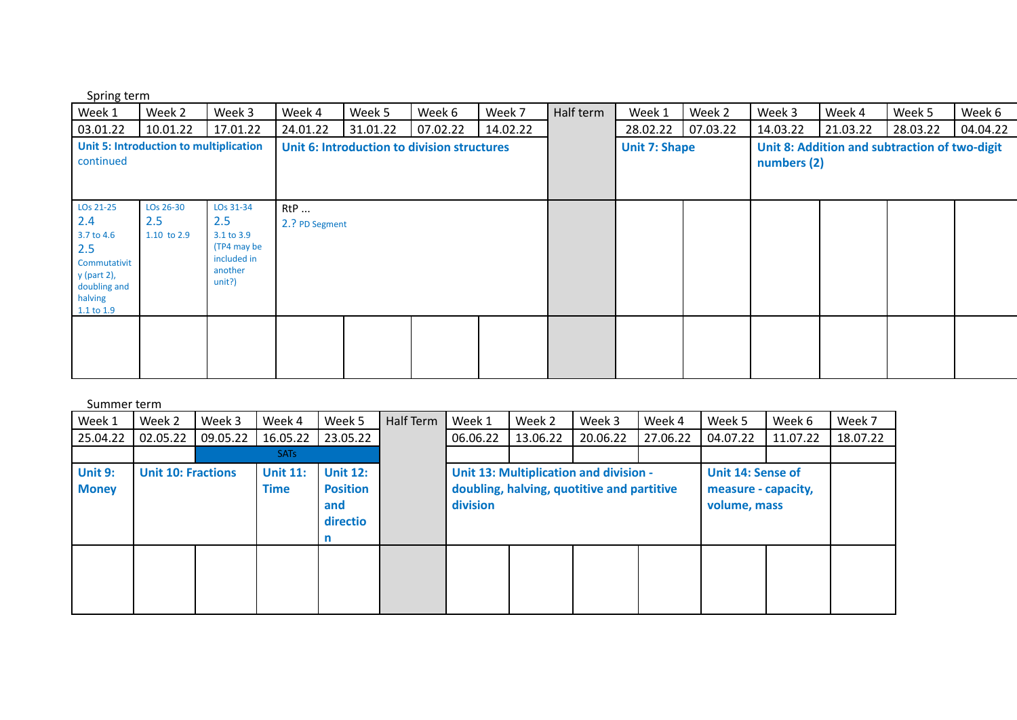Spring term

| Week 1                                                                                                        | Week 2                                 | Week 3                                                                           | Week 4                       | Week 5                                      | Week 6   | Week 7   | Half term | Week 1               | Week 2   | Week 3      | Week 4   | Week 5                                        | Week 6   |
|---------------------------------------------------------------------------------------------------------------|----------------------------------------|----------------------------------------------------------------------------------|------------------------------|---------------------------------------------|----------|----------|-----------|----------------------|----------|-------------|----------|-----------------------------------------------|----------|
| 03.01.22                                                                                                      | 10.01.22                               | 17.01.22                                                                         | 24.01.22                     | 31.01.22                                    | 07.02.22 | 14.02.22 |           | 28.02.22             | 07.03.22 | 14.03.22    | 21.03.22 | 28.03.22                                      | 04.04.22 |
| continued                                                                                                     | Unit 5: Introduction to multiplication |                                                                                  |                              | Unit 6: Introduction to division structures |          |          |           | <b>Unit 7: Shape</b> |          | numbers (2) |          | Unit 8: Addition and subtraction of two-digit |          |
| LOs 21-25<br>2.4<br>3.7 to 4.6<br>2.5<br>Commutativit<br>y (part 2),<br>doubling and<br>halving<br>1.1 to 1.9 | LOs 26-30<br>2.5<br>1.10 to 2.9        | LOs 31-34<br>2.5<br>3.1 to 3.9<br>(TP4 may be<br>included in<br>another<br>unit? | <b>RtP</b><br>2.? PD Segment |                                             |          |          |           |                      |          |             |          |                                               |          |
|                                                                                                               |                                        |                                                                                  |                              |                                             |          |          |           |                      |          |             |          |                                               |          |

| Week 1                  | Week 2                    | Week 3   | Week 4                         | Week 5                                                | Half Term | Week 1   | Week 2   | Week 3                                                                                      | Week 4   | Week 5                                                   | Week 6   | Week 7   |
|-------------------------|---------------------------|----------|--------------------------------|-------------------------------------------------------|-----------|----------|----------|---------------------------------------------------------------------------------------------|----------|----------------------------------------------------------|----------|----------|
| 25.04.22                | 02.05.22                  | 09.05.22 | 16.05.22                       | 23.05.22                                              |           | 06.06.22 | 13.06.22 | 20.06.22                                                                                    | 27.06.22 | 04.07.22                                                 | 11.07.22 | 18.07.22 |
|                         |                           |          | SAT <sub>S</sub>               |                                                       |           |          |          |                                                                                             |          |                                                          |          |          |
| Unit 9:<br><b>Money</b> | <b>Unit 10: Fractions</b> |          | <b>Unit 11:</b><br><b>Time</b> | <b>Unit 12:</b><br><b>Position</b><br>and<br>directio |           | division |          | <b>Unit 13: Multiplication and division -</b><br>doubling, halving, quotitive and partitive |          | Unit 14: Sense of<br>measure - capacity,<br>volume, mass |          |          |
|                         |                           |          |                                |                                                       |           |          |          |                                                                                             |          |                                                          |          |          |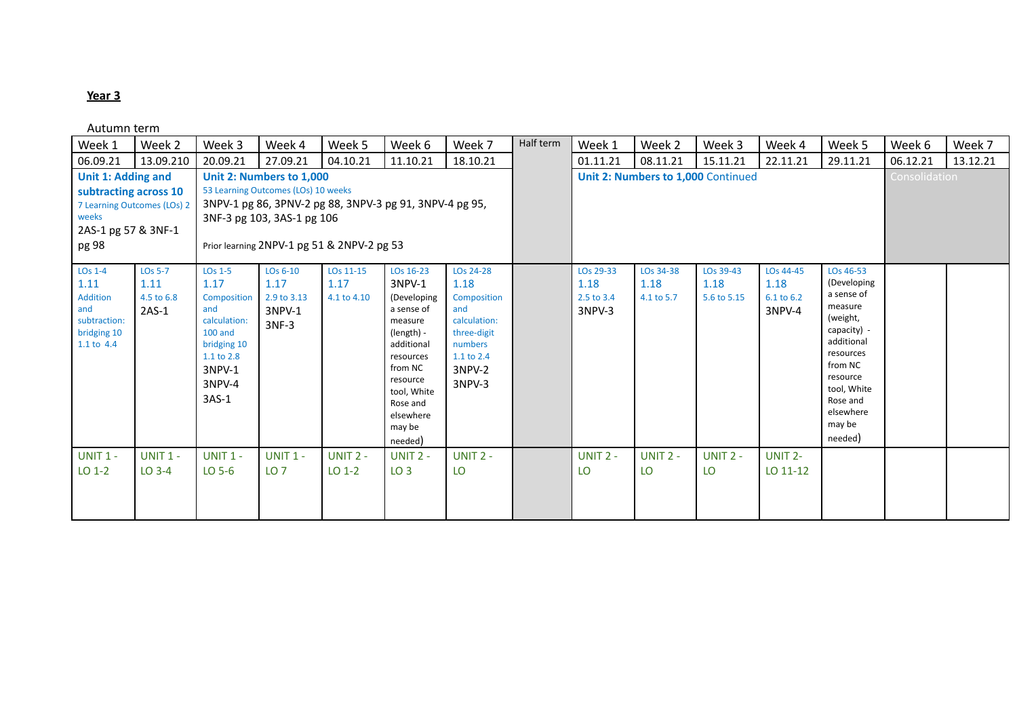| Week 1                                                                                      | Week 2                                               | Week 3                                                                                                                           | Week 4                                                                                        | Week 5                                                                                                | Week 6                                                                                                                                                                                   | Week 7                                                                                                              | Half term | Week 1                                    | Week 2                          | Week 3                             | Week 4                                    | Week 5                                                                                                                                                                                      | Week 6               | Week 7   |
|---------------------------------------------------------------------------------------------|------------------------------------------------------|----------------------------------------------------------------------------------------------------------------------------------|-----------------------------------------------------------------------------------------------|-------------------------------------------------------------------------------------------------------|------------------------------------------------------------------------------------------------------------------------------------------------------------------------------------------|---------------------------------------------------------------------------------------------------------------------|-----------|-------------------------------------------|---------------------------------|------------------------------------|-------------------------------------------|---------------------------------------------------------------------------------------------------------------------------------------------------------------------------------------------|----------------------|----------|
| 06.09.21                                                                                    | 13.09.210                                            | 20.09.21                                                                                                                         | 27.09.21                                                                                      | 04.10.21                                                                                              | 11.10.21                                                                                                                                                                                 | 18.10.21                                                                                                            |           | 01.11.21                                  | 08.11.21                        | 15.11.21                           | 22.11.21                                  | 29.11.21                                                                                                                                                                                    | 06.12.21             | 13.12.21 |
| <b>Unit 1: Adding and</b><br>subtracting across 10<br>weeks<br>2AS-1 pg 57 & 3NF-1<br>pg 98 | 7 Learning Outcomes (LOs) 2                          |                                                                                                                                  | Unit 2: Numbers to 1,000<br>53 Learning Outcomes (LOs) 10 weeks<br>3NF-3 pg 103, 3AS-1 pg 106 | 3NPV-1 pg 86, 3PNV-2 pg 88, 3NPV-3 pg 91, 3NPV-4 pg 95,<br>Prior learning 2NPV-1 pg 51 & 2NPV-2 pg 53 |                                                                                                                                                                                          |                                                                                                                     |           |                                           |                                 | Unit 2: Numbers to 1,000 Continued |                                           |                                                                                                                                                                                             | <b>Consolidation</b> |          |
| LO <sub>s</sub> 1-4<br>1.11<br>Addition<br>and<br>subtraction:<br>bridging 10<br>1.1 to 4.4 | LO <sub>s</sub> 5-7<br>1.11<br>4.5 to 6.8<br>$2AS-1$ | $LOS 1-5$<br>1.17<br>Composition<br>and<br>calculation:<br>$100$ and<br>bridging 10<br>1.1 to 2.8<br>3NPV-1<br>3NPV-4<br>$3AS-1$ | LOs 6-10<br>1.17<br>2.9 to 3.13<br>3NPV-1<br>$3NF-3$                                          | LOs 11-15<br>1.17<br>4.1 to 4.10                                                                      | LOs 16-23<br>3NPV-1<br>(Developing<br>a sense of<br>measure<br>(length) -<br>additional<br>resources<br>from NC<br>resource<br>tool, White<br>Rose and<br>elsewhere<br>may be<br>needed) | LOs 24-28<br>1.18<br>Composition<br>and<br>calculation:<br>three-digit<br>numbers<br>1.1 to 2.4<br>3NPV-2<br>3NPV-3 |           | LOs 29-33<br>1.18<br>2.5 to 3.4<br>3NPV-3 | LOs 34-38<br>1.18<br>4.1 to 5.7 | LOs 39-43<br>1.18<br>5.6 to 5.15   | LOs 44-45<br>1.18<br>6.1 to 6.2<br>3NPV-4 | LOs 46-53<br>(Developing<br>a sense of<br>measure<br>(weight,<br>capacity) -<br>additional<br>resources<br>from NC<br>resource<br>tool, White<br>Rose and<br>elsewhere<br>may be<br>needed) |                      |          |
| <b>UNIT 1 -</b><br>$LO$ 1-2                                                                 | <b>UNIT 1 -</b><br>$LO$ 3-4                          | <b>UNIT 1 -</b><br>$LO$ 5-6                                                                                                      | <b>UNIT 1 -</b><br>LO <sub>7</sub>                                                            | UNIT $2 -$<br>$LO$ 1-2                                                                                | UNIT $2 -$<br>LO <sub>3</sub>                                                                                                                                                            | UNIT 2 -<br>LO                                                                                                      |           | UNIT 2 -<br>LO                            | UNIT $2 -$<br>LO.               | UNIT $2 -$<br>LO                   | UNIT <sub>2</sub> -<br>LO 11-12           |                                                                                                                                                                                             |                      |          |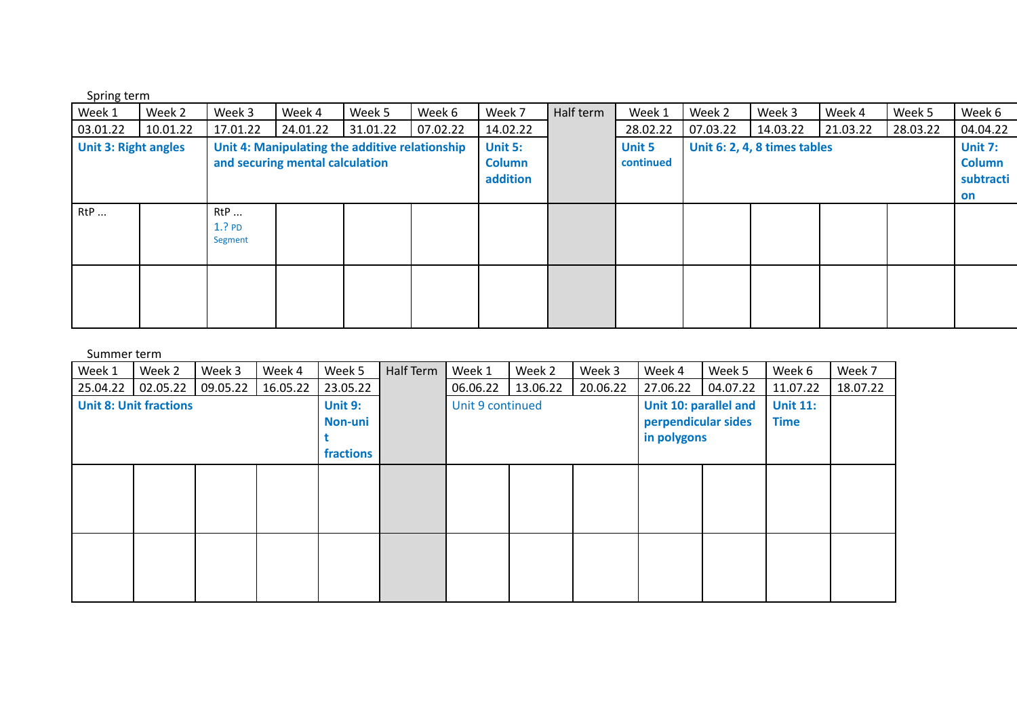| Spring term |
|-------------|
|-------------|

| Week 1                      | Week 2   | Week 3                  | Week 4                          | Week 5                                         | Week 6   | Week 7                               | Half term | Week 1                     | Week 2   | Week 3                       | Week 4   | Week 5   | Week 6                                             |
|-----------------------------|----------|-------------------------|---------------------------------|------------------------------------------------|----------|--------------------------------------|-----------|----------------------------|----------|------------------------------|----------|----------|----------------------------------------------------|
| 03.01.22                    | 10.01.22 | 17.01.22                | 24.01.22                        | 31.01.22                                       | 07.02.22 | 14.02.22                             |           | 28.02.22                   | 07.03.22 | 14.03.22                     | 21.03.22 | 28.03.22 | 04.04.22                                           |
| <b>Unit 3: Right angles</b> |          |                         | and securing mental calculation | Unit 4: Manipulating the additive relationship |          | Unit 5:<br><b>Column</b><br>addition |           | <b>Unit 5</b><br>continued |          | Unit 6: 2, 4, 8 times tables |          |          | <b>Unit 7:</b><br><b>Column</b><br>subtracti<br>on |
| RtP                         |          | RtP<br>1.?PD<br>Segment |                                 |                                                |          |                                      |           |                            |          |                              |          |          |                                                    |
|                             |          |                         |                                 |                                                |          |                                      |           |                            |          |                              |          |          |                                                    |

| Week 1   | Week 2                        | Week 3   | Week 4   | Week 5    | Half Term | Week 1           | Week 2   | Week 3   | Week 4                | Week 5   | Week 6          | Week 7   |
|----------|-------------------------------|----------|----------|-----------|-----------|------------------|----------|----------|-----------------------|----------|-----------------|----------|
| 25.04.22 | 02.05.22                      | 09.05.22 | 16.05.22 | 23.05.22  |           | 06.06.22         | 13.06.22 | 20.06.22 | 27.06.22              | 04.07.22 | 11.07.22        | 18.07.22 |
|          | <b>Unit 8: Unit fractions</b> |          |          | Unit 9:   |           | Unit 9 continued |          |          | Unit 10: parallel and |          | <b>Unit 11:</b> |          |
|          |                               |          |          | Non-uni   |           |                  |          |          | perpendicular sides   |          | <b>Time</b>     |          |
|          |                               |          |          |           |           |                  |          |          | in polygons           |          |                 |          |
|          |                               |          |          | fractions |           |                  |          |          |                       |          |                 |          |
|          |                               |          |          |           |           |                  |          |          |                       |          |                 |          |
|          |                               |          |          |           |           |                  |          |          |                       |          |                 |          |
|          |                               |          |          |           |           |                  |          |          |                       |          |                 |          |
|          |                               |          |          |           |           |                  |          |          |                       |          |                 |          |
|          |                               |          |          |           |           |                  |          |          |                       |          |                 |          |
|          |                               |          |          |           |           |                  |          |          |                       |          |                 |          |
|          |                               |          |          |           |           |                  |          |          |                       |          |                 |          |
|          |                               |          |          |           |           |                  |          |          |                       |          |                 |          |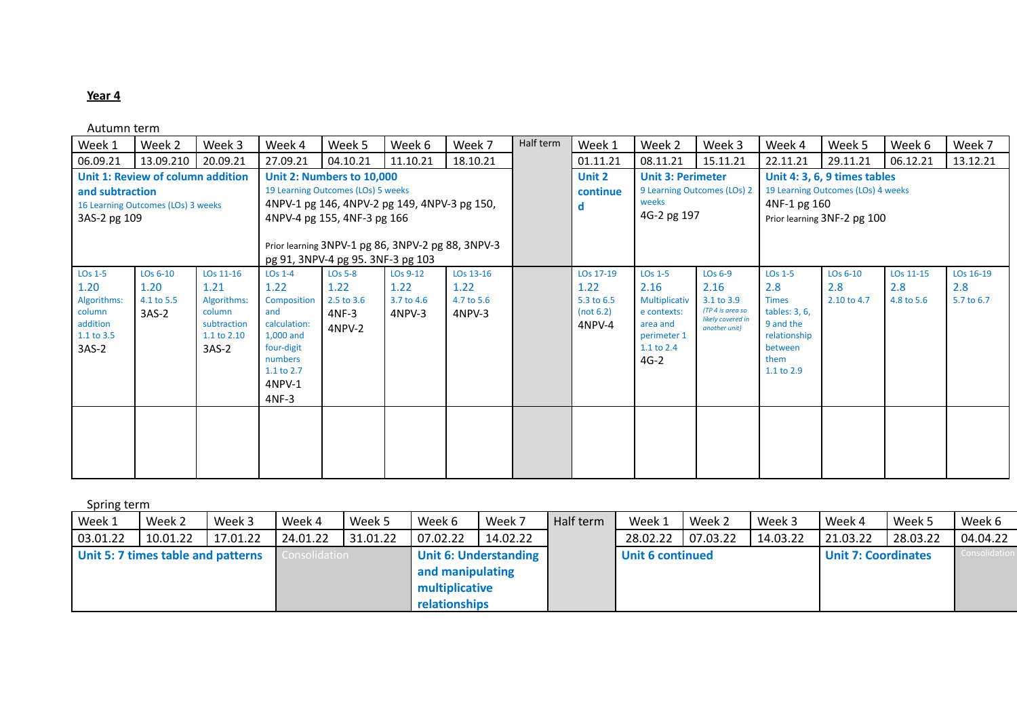Autumn term

| Week 1                                                                                    | Week 2                                                                  | Week 3                                                                              | Week 4                                                                                                                                         | Week 5                                                                                                                                                                                                                                   | Week 6                                               | Week 7                                    | Half term | Week 1                                                   | Week 2                                                                                                             | Week 3                                                                                              | Week 4                                                                                                                           | Week 5                                                                                            | Week 6                         | Week 7                                     |
|-------------------------------------------------------------------------------------------|-------------------------------------------------------------------------|-------------------------------------------------------------------------------------|------------------------------------------------------------------------------------------------------------------------------------------------|------------------------------------------------------------------------------------------------------------------------------------------------------------------------------------------------------------------------------------------|------------------------------------------------------|-------------------------------------------|-----------|----------------------------------------------------------|--------------------------------------------------------------------------------------------------------------------|-----------------------------------------------------------------------------------------------------|----------------------------------------------------------------------------------------------------------------------------------|---------------------------------------------------------------------------------------------------|--------------------------------|--------------------------------------------|
| 06.09.21                                                                                  | 13.09.210                                                               | 20.09.21                                                                            | 27.09.21                                                                                                                                       | 04.10.21                                                                                                                                                                                                                                 | 11.10.21                                             | 18.10.21                                  |           | 01.11.21                                                 | 08.11.21                                                                                                           | 15.11.21                                                                                            | 22.11.21                                                                                                                         | 29.11.21                                                                                          | 06.12.21                       | 13.12.21                                   |
| and subtraction<br>3AS-2 pg 109                                                           | Unit 1: Review of column addition<br>16 Learning Outcomes (LOs) 3 weeks |                                                                                     |                                                                                                                                                | Unit 2: Numbers to 10,000<br>19 Learning Outcomes (LOs) 5 weeks<br>4NPV-1 pg 146, 4NPV-2 pg 149, 4NPV-3 pg 150,<br>4NPV-4 pg 155, 4NF-3 pg 166<br>Prior learning 3NPV-1 pg 86, 3NPV-2 pg 88, 3NPV-3<br>pg 91, 3NPV-4 pg 95. 3NF-3 pg 103 |                                                      |                                           |           | Unit 2<br>continue<br>d                                  | <b>Unit 3: Perimeter</b><br>weeks<br>4G-2 pg 197                                                                   | 9 Learning Outcomes (LOs) 2                                                                         | 4NF-1 pg 160                                                                                                                     | Unit 4: 3, 6, 9 times tables<br>19 Learning Outcomes (LOs) 4 weeks<br>Prior learning 3NF-2 pg 100 |                                |                                            |
| LO <sub>s</sub> 1-5<br>1.20<br>Algorithms:<br>column<br>addition<br>1.1 to 3.5<br>$3AS-2$ | LOs 6-10<br>1.20<br>4.1 to 5.5<br>$3AS-2$                               | LOs 11-16<br>1.21<br>Algorithms:<br>column<br>subtraction<br>1.1 to 2.10<br>$3AS-2$ | LO <sub>s</sub> 1-4<br>1.22<br>Composition<br>and<br>calculation:<br>1,000 and<br>four-digit<br>numbers<br>$1.1$ to $2.7$<br>4NPV-1<br>$4NF-3$ | <b>LOs 5-8</b><br>1.22<br>2.5 to 3.6<br>$4NF-3$<br>4NPV-2                                                                                                                                                                                | LO <sub>s</sub> 9-12<br>1.22<br>3.7 to 4.6<br>4NPV-3 | LOs 13-16<br>1.22<br>4.7 to 5.6<br>4NPV-3 |           | LOs 17-19<br>1.22<br>5.3 to 6.5<br>(not 6.2)<br>$4NPV-4$ | LO <sub>s</sub> 1-5<br>2.16<br>Multiplicativ<br>e contexts:<br>area and<br>perimeter 1<br>$1.1$ to $2.4$<br>$4G-2$ | LO <sub>s</sub> 6-9<br>2.16<br>3.1 to 3.9<br>(TP 4 is area so<br>likely covered in<br>another unit) | LO <sub>s</sub> 1-5<br>2.8<br><b>Times</b><br>tables: $3, 6$ ,<br>9 and the<br>relationship<br>between<br>them<br>$1.1$ to $2.9$ | LOs 6-10<br>2.8<br>2.10 to 4.7                                                                    | LOs 11-15<br>2.8<br>4.8 to 5.6 | LO <sub>s</sub> 16-19<br>2.8<br>5.7 to 6.7 |
|                                                                                           |                                                                         |                                                                                     |                                                                                                                                                |                                                                                                                                                                                                                                          |                                                      |                                           |           |                                                          |                                                                                                                    |                                                                                                     |                                                                                                                                  |                                                                                                   |                                |                                            |

Spring term

| .        |                                    |          |                      |          |                                    |                              |           |                         |          |          |                            |          |               |
|----------|------------------------------------|----------|----------------------|----------|------------------------------------|------------------------------|-----------|-------------------------|----------|----------|----------------------------|----------|---------------|
| Week 1   | Week 2                             | Week 3   | Week 4               | Week 5   | Week 6                             | Week 7                       | Half term | Week 1                  | Week 2   | Week 3   | Week 4                     | Week 5   | Week 6        |
| 03.01.22 | 10.01.22                           | 17.01.22 | 24.01.22             | 31.01.22 | 07.02.22                           | 14.02.22                     |           | 28.02.22                | 07.03.22 | 14.03.22 | 21.03.22                   | 28.03.22 | 04.04.22      |
|          | Unit 5: 7 times table and patterns |          | <b>Consolidation</b> |          | and manipulating<br>multiplicative | <b>Unit 6: Understanding</b> |           | <b>Unit 6 continued</b> |          |          | <b>Unit 7: Coordinates</b> |          | Consolidation |
|          |                                    |          |                      |          | relationships                      |                              |           |                         |          |          |                            |          |               |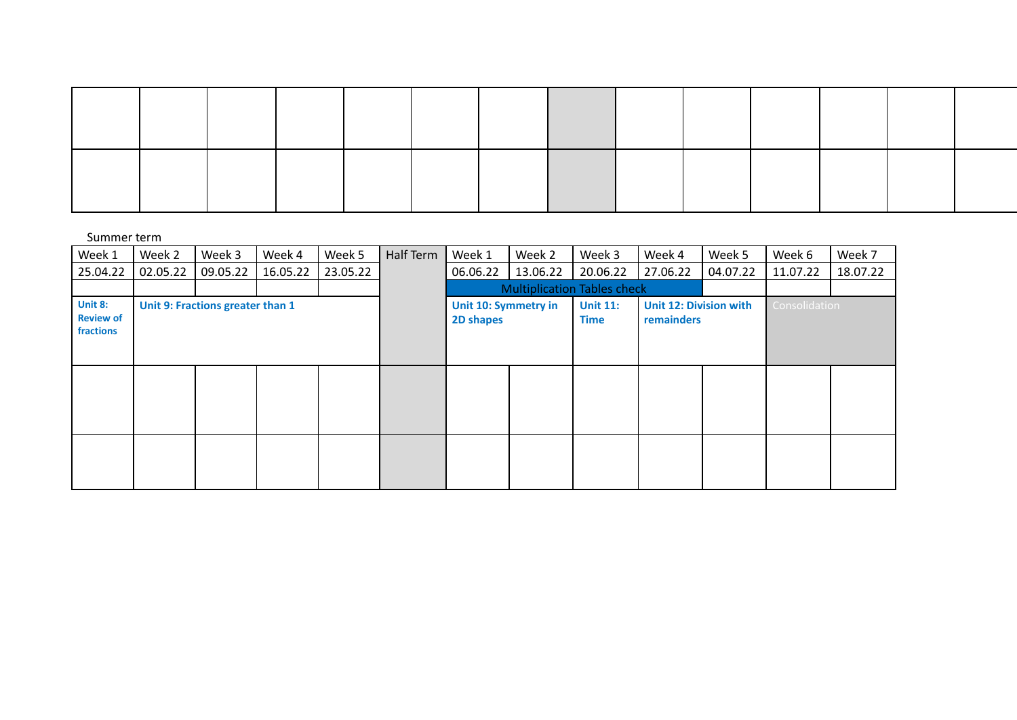| Week 1                                   | Week 2                           | Week 3   | Week 4   | Week 5   | Half Term | Week 1                            | Week 2   | Week 3                             | Week 4                                      | Week 5   | Week 6        | Week 7   |
|------------------------------------------|----------------------------------|----------|----------|----------|-----------|-----------------------------------|----------|------------------------------------|---------------------------------------------|----------|---------------|----------|
| 25.04.22                                 | 02.05.22                         | 09.05.22 | 16.05.22 | 23.05.22 |           | 06.06.22                          | 13.06.22 | 20.06.22                           | 27.06.22                                    | 04.07.22 | 11.07.22      | 18.07.22 |
|                                          |                                  |          |          |          |           |                                   |          | <b>Multiplication Tables check</b> |                                             |          |               |          |
| Unit 8:<br><b>Review of</b><br>fractions | Unit 9: Fractions greater than 1 |          |          |          |           | Unit 10: Symmetry in<br>2D shapes |          | <b>Unit 11:</b><br><b>Time</b>     | <b>Unit 12: Division with</b><br>remainders |          | Consolidation |          |
|                                          |                                  |          |          |          |           |                                   |          |                                    |                                             |          |               |          |
|                                          |                                  |          |          |          |           |                                   |          |                                    |                                             |          |               |          |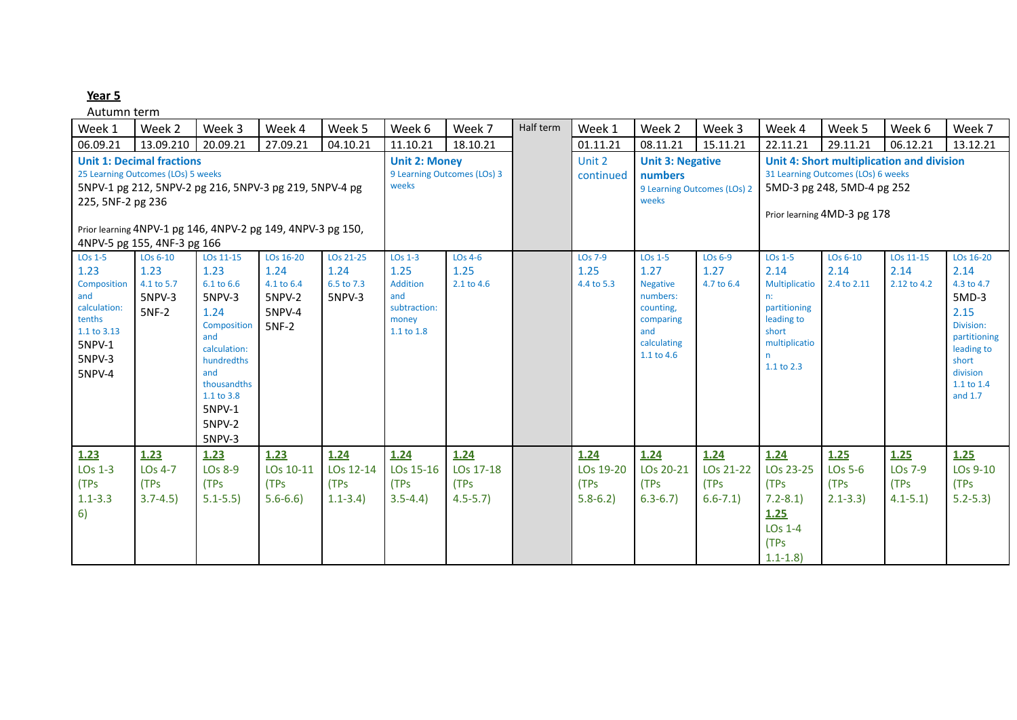| Week 1                                                                                                                                                                                                                                              | Week 2                                                        | Week 3                                                                                                                                                                  | Week 4                                                       | Week 5                                    | Week 6                                                                                | Week 7                                               | Half term           | Week 1                                      | Week 2                                                                                                                   | Week 3                                                                                                                                       | Week 4                                                                                                                        | Week 5                                             | Week 6                                             | Week 7                                                                                                                                      |
|-----------------------------------------------------------------------------------------------------------------------------------------------------------------------------------------------------------------------------------------------------|---------------------------------------------------------------|-------------------------------------------------------------------------------------------------------------------------------------------------------------------------|--------------------------------------------------------------|-------------------------------------------|---------------------------------------------------------------------------------------|------------------------------------------------------|---------------------|---------------------------------------------|--------------------------------------------------------------------------------------------------------------------------|----------------------------------------------------------------------------------------------------------------------------------------------|-------------------------------------------------------------------------------------------------------------------------------|----------------------------------------------------|----------------------------------------------------|---------------------------------------------------------------------------------------------------------------------------------------------|
| 06.09.21                                                                                                                                                                                                                                            | 13.09.210                                                     | 20.09.21                                                                                                                                                                | 27.09.21                                                     | 04.10.21                                  | 11.10.21                                                                              | 18.10.21                                             |                     | 01.11.21                                    | 08.11.21                                                                                                                 | 15.11.21                                                                                                                                     | 22.11.21                                                                                                                      | 29.11.21                                           | 06.12.21                                           | 13.12.21                                                                                                                                    |
| <b>Unit 1: Decimal fractions</b><br>25 Learning Outcomes (LOs) 5 weeks<br>5NPV-1 pg 212, 5NPV-2 pg 216, 5NPV-3 pg 219, 5NPV-4 pg<br>225, 5NF-2 pg 236<br>Prior learning 4NPV-1 pg 146, 4NPV-2 pg 149, 4NPV-3 pg 150,<br>4NPV-5 pg 155, 4NF-3 pg 166 |                                                               |                                                                                                                                                                         |                                                              | <b>Unit 2: Money</b><br>weeks             | 9 Learning Outcomes (LOs) 3                                                           |                                                      | Unit 2<br>continued | <b>Unit 3: Negative</b><br>numbers<br>weeks | 9 Learning Outcomes (LOs) 2                                                                                              | Unit 4: Short multiplication and division<br>31 Learning Outcomes (LOs) 6 weeks<br>5MD-3 pg 248, 5MD-4 pg 252<br>Prior learning 4MD-3 pg 178 |                                                                                                                               |                                                    |                                                    |                                                                                                                                             |
| LO <sub>s</sub> 1-5<br>1.23<br>Composition<br>and<br>calculation:<br>tenths<br>1.1 to 3.13<br>5NPV-1<br>5NPV-3<br>5NPV-4                                                                                                                            | LO <sub>s</sub> 6-10<br>1.23<br>4.1 to 5.7<br>5NPV-3<br>5NF-2 | LOs 11-15<br>1.23<br>6.1 to 6.6<br>5NPV-3<br>1.24<br>Composition<br>and<br>calculation:<br>hundredths<br>and<br>thousandths<br>1.1 to 3.8<br>5NPV-1<br>5NPV-2<br>5NPV-3 | LOs 16-20<br>1.24<br>4.1 to 6.4<br>5NPV-2<br>5NPV-4<br>5NF-2 | LOs 21-25<br>1.24<br>6.5 to 7.3<br>5NPV-3 | LO <sub>s</sub> 1-3<br>1.25<br>Addition<br>and<br>subtraction:<br>money<br>1.1 to 1.8 | $LOS 4-6$<br>1.25<br>2.1 to 4.6                      |                     | LO <sub>s</sub> 7-9<br>1.25<br>4.4 to 5.3   | LO <sub>s</sub> 1-5<br>1.27<br><b>Negative</b><br>numbers:<br>counting,<br>comparing<br>and<br>calculating<br>1.1 to 4.6 | $LOS 6-9$<br>1.27<br>4.7 to 6.4                                                                                                              | LO <sub>s</sub> 1-5<br>2.14<br>Multiplicatio<br>n:<br>partitioning<br>leading to<br>short<br>multiplicatio<br>n<br>1.1 to 2.3 | LOs 6-10<br>2.14<br>2.4 to 2.11                    | LOs 11-15<br>2.14<br>2.12 to 4.2                   | LOs 16-20<br>2.14<br>4.3 to 4.7<br>$5MD-3$<br>2.15<br>Division:<br>partitioning<br>leading to<br>short<br>division<br>1.1 to 1.4<br>and 1.7 |
| 1.23<br>LO <sub>s</sub> 1-3<br>(TPs<br>$1.1 - 3.3$<br>6)                                                                                                                                                                                            | 1.23<br>$LOS 4-7$<br>(TPs<br>$3.7 - 4.5$                      | 1.23<br>LO <sub>s</sub> 8-9<br>(TPs<br>$5.1 - 5.5$                                                                                                                      | 1.23<br>LOs 10-11<br>(TPs<br>$5.6 - 6.6$                     | 1.24<br>LOs 12-14<br>(TPs<br>$1.1 - 3.4$  | 1.24<br>LOs 15-16<br>(TPs<br>$3.5 - 4.4$                                              | 1.24<br>LOs 17-18<br>(TP <sub>S</sub><br>$4.5 - 5.7$ |                     | 1.24<br>LOs 19-20<br>(TPs<br>$5.8 - 6.2$    | 1.24<br>LOs 20-21<br>(TPs<br>$6.3 - 6.7$                                                                                 | 1.24<br>LOs 21-22<br>(TPs<br>$6.6 - 7.1$                                                                                                     | 1.24<br>LOs 23-25<br>(TPs<br>$7.2 - 8.1$<br>1.25<br>$LOS 1-4$<br>(TPs<br>$1.1 - 1.8$                                          | 1.25<br>LO <sub>s</sub> 5-6<br>(TPs<br>$2.1 - 3.3$ | 1.25<br>LO <sub>s</sub> 7-9<br>(TPs<br>$4.1 - 5.1$ | 1.25<br>LOs 9-10<br>(TPs<br>$5.2 - 5.3$                                                                                                     |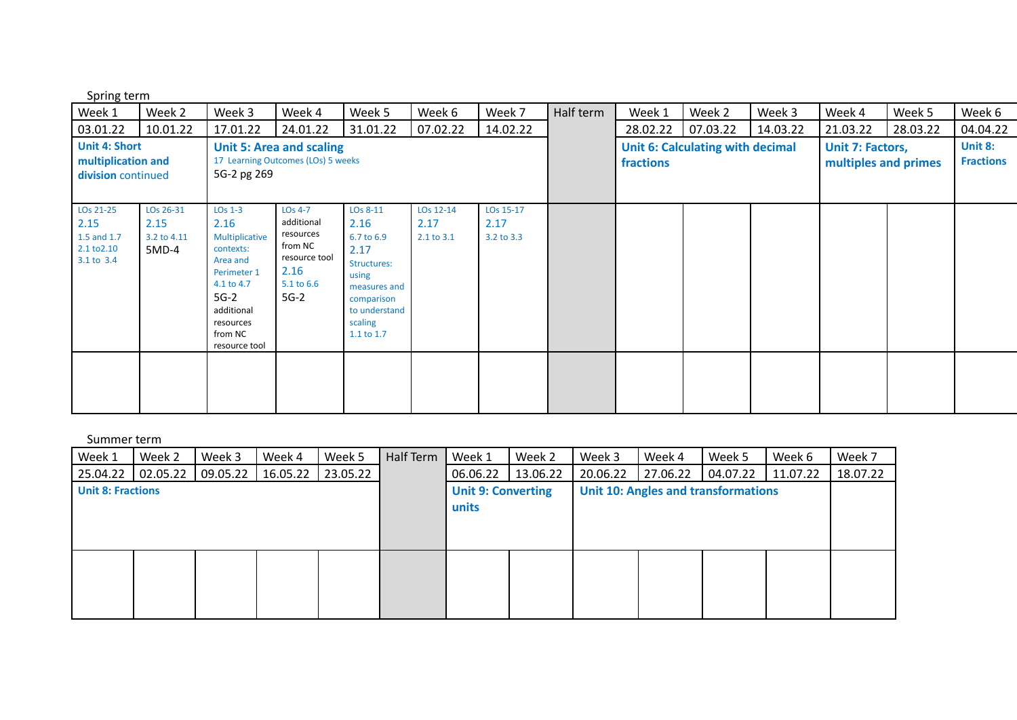Spring term

| Week 1                                                        | Week 2                                                                                                                                                   | Week 3                                                                                                                                                     | Week 4                                                                                                     | Week 5                                                                                                                                 | Week 6                          | Week 7                          | Half term | Week 1    | Week 2                           | Week 3   | Week 4                                   | Week 5   | Week 6                      |
|---------------------------------------------------------------|----------------------------------------------------------------------------------------------------------------------------------------------------------|------------------------------------------------------------------------------------------------------------------------------------------------------------|------------------------------------------------------------------------------------------------------------|----------------------------------------------------------------------------------------------------------------------------------------|---------------------------------|---------------------------------|-----------|-----------|----------------------------------|----------|------------------------------------------|----------|-----------------------------|
| 03.01.22                                                      | 10.01.22                                                                                                                                                 | 17.01.22                                                                                                                                                   | 24.01.22                                                                                                   | 31.01.22                                                                                                                               | 07.02.22                        | 14.02.22                        |           | 28.02.22  | 07.03.22                         | 14.03.22 | 21.03.22                                 | 28.03.22 | 04.04.22                    |
|                                                               | <b>Unit 4: Short</b><br><b>Unit 5: Area and scaling</b><br>multiplication and<br>17 Learning Outcomes (LOs) 5 weeks<br>5G-2 pg 269<br>division continued |                                                                                                                                                            |                                                                                                            |                                                                                                                                        |                                 |                                 |           | fractions | Unit 6: Calculating with decimal |          | Unit 7: Factors,<br>multiples and primes |          | Unit 8:<br><b>Fractions</b> |
| LOs 21-25<br>2.15<br>1.5 and 1.7<br>2.1 to 2.10<br>3.1 to 3.4 | LOs 26-31<br>2.15<br>3.2 to 4.11<br>5MD-4                                                                                                                | $LOS 1-3$<br>2.16<br>Multiplicative<br>contexts:<br>Area and<br>Perimeter 1<br>4.1 to 4.7<br>$5G-2$<br>additional<br>resources<br>from NC<br>resource tool | LO <sub>s</sub> 4-7<br>additional<br>resources<br>from NC<br>resource tool<br>2.16<br>5.1 to 6.6<br>$5G-2$ | LOs 8-11<br>2.16<br>6.7 to 6.9<br>2.17<br>Structures:<br>using<br>measures and<br>comparison<br>to understand<br>scaling<br>1.1 to 1.7 | LOs 12-14<br>2.17<br>2.1 to 3.1 | LOs 15-17<br>2.17<br>3.2 to 3.3 |           |           |                                  |          |                                          |          |                             |
|                                                               |                                                                                                                                                          |                                                                                                                                                            |                                                                                                            |                                                                                                                                        |                                 |                                 |           |           |                                  |          |                                          |          |                             |

| Week 1                   | Week 2   | Week 3   | Week 4   | Week 5   | Half Term | Week 1                             | Week 2   | Week 3                                     | Week 4   | Week 5   | Week 6   | Week 7   |
|--------------------------|----------|----------|----------|----------|-----------|------------------------------------|----------|--------------------------------------------|----------|----------|----------|----------|
| 25.04.22                 | 02.05.22 | 09.05.22 | 16.05.22 | 23.05.22 |           | 06.06.22                           | 13.06.22 | 20.06.22                                   | 27.06.22 | 04.07.22 | 11.07.22 | 18.07.22 |
| <b>Unit 8: Fractions</b> |          |          |          |          |           | <b>Unit 9: Converting</b><br>units |          | <b>Unit 10: Angles and transformations</b> |          |          |          |          |
|                          |          |          |          |          |           |                                    |          |                                            |          |          |          |          |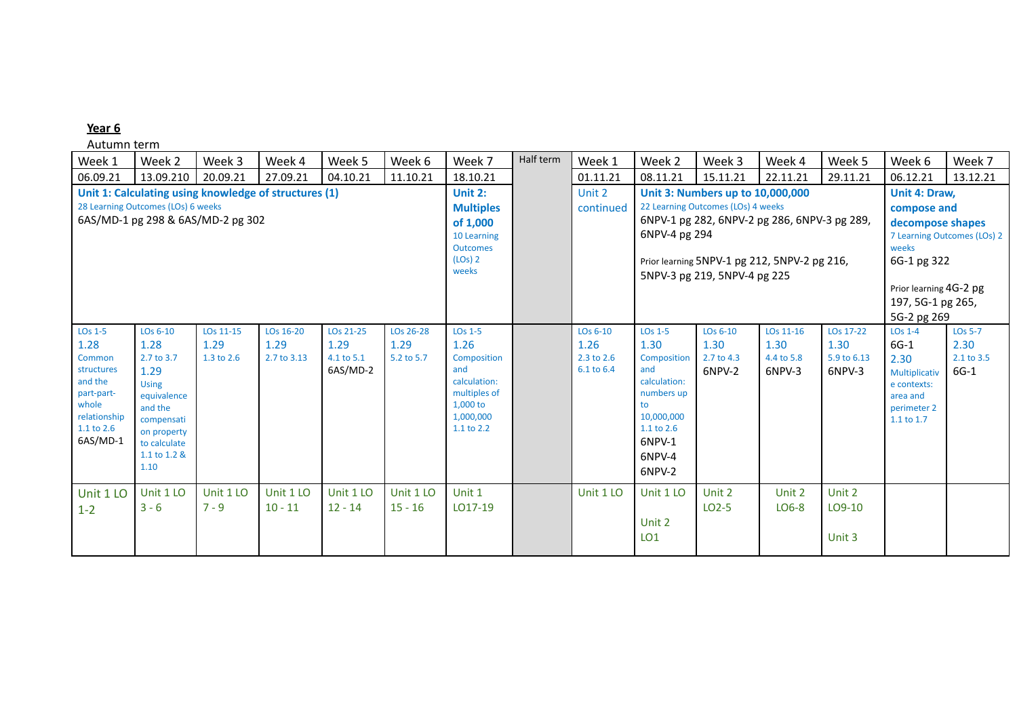| Week 1                                                                                                                           | Week 2                                                                                                                                                | Week 3                          | Week 4                           | Week 5                                      | Week 6                          | Week 7                                                                                                                              | Half term | Week 1                                         | Week 2                                                                                                                                    | Week 3                                                                                                                                                                                                 | Week 4                                                                                                                                                                | Week 5                                     | Week 6                                                                                               | Week 7                                         |
|----------------------------------------------------------------------------------------------------------------------------------|-------------------------------------------------------------------------------------------------------------------------------------------------------|---------------------------------|----------------------------------|---------------------------------------------|---------------------------------|-------------------------------------------------------------------------------------------------------------------------------------|-----------|------------------------------------------------|-------------------------------------------------------------------------------------------------------------------------------------------|--------------------------------------------------------------------------------------------------------------------------------------------------------------------------------------------------------|-----------------------------------------------------------------------------------------------------------------------------------------------------------------------|--------------------------------------------|------------------------------------------------------------------------------------------------------|------------------------------------------------|
| 06.09.21                                                                                                                         | 13.09.210                                                                                                                                             | 20.09.21                        | 27.09.21                         | 04.10.21                                    | 11.10.21                        | 18.10.21                                                                                                                            |           | 01.11.21                                       | 08.11.21                                                                                                                                  | 15.11.21                                                                                                                                                                                               | 22.11.21                                                                                                                                                              | 29.11.21                                   | 06.12.21                                                                                             | 13.12.21                                       |
| Unit 1: Calculating using knowledge of structures (1)<br>28 Learning Outcomes (LOs) 6 weeks<br>6AS/MD-1 pg 298 & 6AS/MD-2 pg 302 |                                                                                                                                                       |                                 |                                  |                                             |                                 | <b>Unit 2:</b><br><b>Multiples</b><br>of 1,000<br>10 Learning<br><b>Outcomes</b><br>$(LOs)$ 2<br>weeks                              |           | Unit 2<br>continued                            | 6NPV-4 pg 294                                                                                                                             | Unit 3: Numbers up to 10,000,000<br>22 Learning Outcomes (LOs) 4 weeks<br>6NPV-1 pg 282, 6NPV-2 pg 286, 6NPV-3 pg 289,<br>Prior learning 5NPV-1 pg 212, 5NPV-2 pg 216,<br>5NPV-3 pg 219, 5NPV-4 pg 225 | Unit 4: Draw,<br>compose and<br>decompose shapes<br>7 Learning Outcomes (LOs) 2<br>weeks<br>6G-1 pg 322<br>Prior learning 4G-2 pg<br>197, 5G-1 pg 265,<br>5G-2 pg 269 |                                            |                                                                                                      |                                                |
| LO <sub>s</sub> 1-5<br>1.28<br>Common<br>structures<br>and the<br>part-part-<br>whole<br>relationship<br>1.1 to 2.6<br>6AS/MD-1  | LOs 6-10<br>1.28<br>2.7 to 3.7<br>1.29<br><b>Using</b><br>equivalence<br>and the<br>compensati<br>on property<br>to calculate<br>1.1 to 1.2 &<br>1.10 | LOs 11-15<br>1.29<br>1.3 to 2.6 | LOs 16-20<br>1.29<br>2.7 to 3.13 | LOs 21-25<br>1.29<br>4.1 to 5.1<br>6AS/MD-2 | LOs 26-28<br>1.29<br>5.2 to 5.7 | LO <sub>s</sub> 1-5<br>1.26<br><b>Composition</b><br>and<br>calculation:<br>multiples of<br>1,000 to<br>1,000,000<br>$1.1$ to $2.2$ |           | $LOS 6-10$<br>1.26<br>2.3 to 2.6<br>6.1 to 6.4 | $LOS 1-5$<br>1.30<br>Composition<br>and<br>calculation:<br>numbers up<br>to<br>10,000,000<br>$1.1$ to $2.6$<br>6NPV-1<br>6NPV-4<br>6NPV-2 | $LOS 6-10$<br>1.30<br>2.7 to 4.3<br>6NPV-2                                                                                                                                                             | LOs 11-16<br>1.30<br>4.4 to 5.8<br>6NPV-3                                                                                                                             | LOs 17-22<br>1.30<br>5.9 to 6.13<br>6NPV-3 | $LOS 1-4$<br>$6G-1$<br>2.30<br>Multiplicativ<br>e contexts:<br>area and<br>perimeter 2<br>1.1 to 1.7 | <b>LOs 5-7</b><br>2.30<br>2.1 to 3.5<br>$6G-1$ |
| Unit 1 LO<br>$1 - 2$                                                                                                             | Unit 1 LO<br>$3 - 6$                                                                                                                                  | Unit 1 LO<br>$7 - 9$            | Unit 1 LO<br>$10 - 11$           | Unit 1 LO<br>$12 - 14$                      | Unit 1 LO<br>$15 - 16$          | Unit 1<br>LO17-19                                                                                                                   |           | Unit 1 LO                                      | Unit 1 LO<br>Unit 2<br>LO <sub>1</sub>                                                                                                    | Unit 2<br>LO <sub>2</sub> -5                                                                                                                                                                           | Unit 2<br>LO6-8                                                                                                                                                       | Unit 2<br>LO9-10<br>Unit 3                 |                                                                                                      |                                                |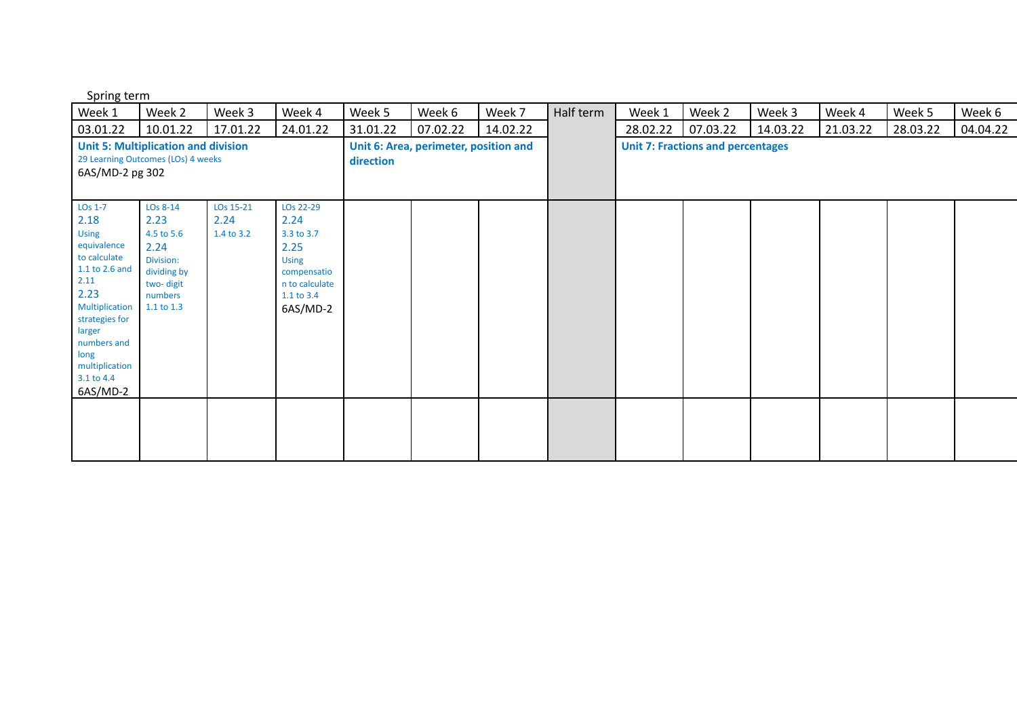| Spring term |  |
|-------------|--|
|-------------|--|

| Week 1                                                                                                                                                                                                                        | Week 2                                                                                                   | Week 3                          | Week 4                                                                                                             | Week 5                                             | Week 6   | Week 7   | Half term | Week 1                                   | Week 2   | Week 3   | Week 4   | Week 5   | Week 6   |
|-------------------------------------------------------------------------------------------------------------------------------------------------------------------------------------------------------------------------------|----------------------------------------------------------------------------------------------------------|---------------------------------|--------------------------------------------------------------------------------------------------------------------|----------------------------------------------------|----------|----------|-----------|------------------------------------------|----------|----------|----------|----------|----------|
| 03.01.22                                                                                                                                                                                                                      | 10.01.22                                                                                                 | 17.01.22                        | 24.01.22                                                                                                           | 31.01.22                                           | 07.02.22 | 14.02.22 |           | 28.02.22                                 | 07.03.22 | 14.03.22 | 21.03.22 | 28.03.22 | 04.04.22 |
| <b>Unit 5: Multiplication and division</b><br>29 Learning Outcomes (LOs) 4 weeks<br>6AS/MD-2 pg 302                                                                                                                           |                                                                                                          |                                 |                                                                                                                    | Unit 6: Area, perimeter, position and<br>direction |          |          |           | <b>Unit 7: Fractions and percentages</b> |          |          |          |          |          |
| LO <sub>s</sub> 1-7<br>2.18<br><b>Using</b><br>equivalence<br>to calculate<br>1.1 to 2.6 and<br>2.11<br>2.23<br>Multiplication<br>strategies for<br>larger<br>numbers and<br>long<br>multiplication<br>3.1 to 4.4<br>6AS/MD-2 | LOs 8-14<br>2.23<br>4.5 to 5.6<br>2.24<br>Division:<br>dividing by<br>two-digit<br>numbers<br>1.1 to 1.3 | LOs 15-21<br>2.24<br>1.4 to 3.2 | LOs 22-29<br>2.24<br>3.3 to 3.7<br>2.25<br><b>Using</b><br>compensatio<br>n to calculate<br>1.1 to 3.4<br>6AS/MD-2 |                                                    |          |          |           |                                          |          |          |          |          |          |
|                                                                                                                                                                                                                               |                                                                                                          |                                 |                                                                                                                    |                                                    |          |          |           |                                          |          |          |          |          |          |